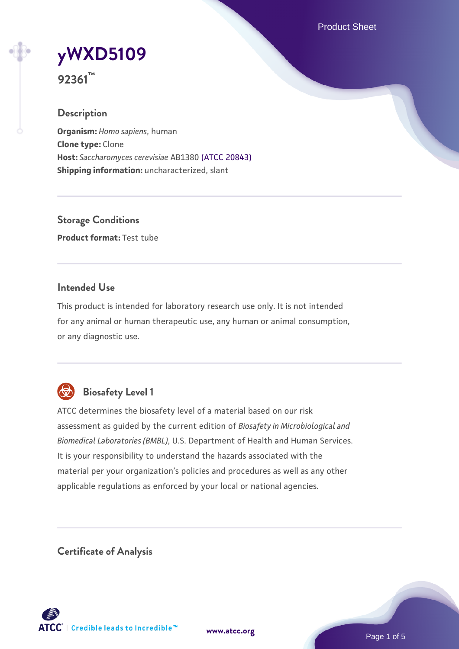Product Sheet

# **[yWXD5109](https://www.atcc.org/products/92361)**

**92361™**

# **Description**

**Organism:** *Homo sapiens*, human **Clone type:** Clone **Host:** *Saccharomyces cerevisiae* AB1380 [\(ATCC 20843\)](https://www.atcc.org/products/20843) **Shipping information:** uncharacterized, slant

**Storage Conditions Product format:** Test tube

# **Intended Use**

This product is intended for laboratory research use only. It is not intended for any animal or human therapeutic use, any human or animal consumption, or any diagnostic use.



# **Biosafety Level 1**

ATCC determines the biosafety level of a material based on our risk assessment as guided by the current edition of *Biosafety in Microbiological and Biomedical Laboratories (BMBL)*, U.S. Department of Health and Human Services. It is your responsibility to understand the hazards associated with the material per your organization's policies and procedures as well as any other applicable regulations as enforced by your local or national agencies.

**Certificate of Analysis**

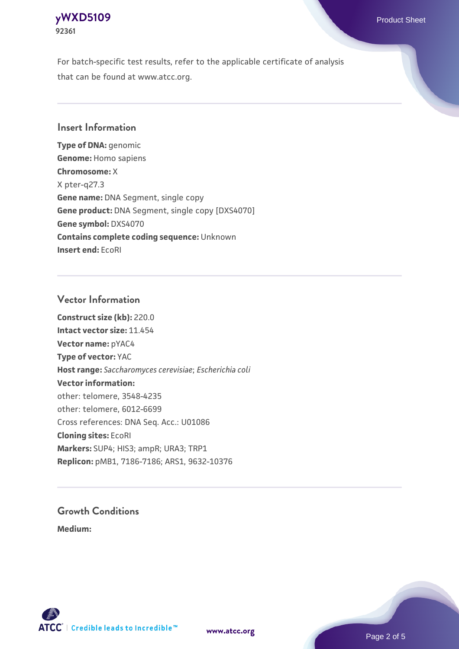# **[yWXD5109](https://www.atcc.org/products/92361)** Product Sheet **92361**

For batch-specific test results, refer to the applicable certificate of analysis that can be found at www.atcc.org.

# **Insert Information**

**Type of DNA:** genomic **Genome:** Homo sapiens **Chromosome:** X X pter-q27.3 **Gene name:** DNA Segment, single copy **Gene product:** DNA Segment, single copy [DXS4070] **Gene symbol:** DXS4070 **Contains complete coding sequence:** Unknown **Insert end:** EcoRI

# **Vector Information**

**Construct size (kb):** 220.0 **Intact vector size:** 11.454 **Vector name:** pYAC4 **Type of vector:** YAC **Host range:** *Saccharomyces cerevisiae*; *Escherichia coli* **Vector information:** other: telomere, 3548-4235 other: telomere, 6012-6699 Cross references: DNA Seq. Acc.: U01086 **Cloning sites:** EcoRI **Markers:** SUP4; HIS3; ampR; URA3; TRP1 **Replicon:** pMB1, 7186-7186; ARS1, 9632-10376

# **Growth Conditions**

**Medium:** 



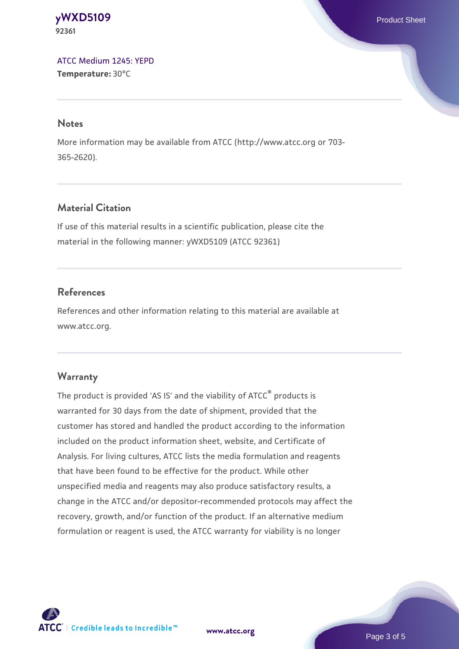**[yWXD5109](https://www.atcc.org/products/92361)** Product Sheet **92361**

[ATCC Medium 1245: YEPD](https://www.atcc.org/-/media/product-assets/documents/microbial-media-formulations/1/2/4/5/atcc-medium-1245.pdf?rev=705ca55d1b6f490a808a965d5c072196) **Temperature:** 30°C

#### **Notes**

More information may be available from ATCC (http://www.atcc.org or 703- 365-2620).

# **Material Citation**

If use of this material results in a scientific publication, please cite the material in the following manner: yWXD5109 (ATCC 92361)

# **References**

References and other information relating to this material are available at www.atcc.org.

#### **Warranty**

The product is provided 'AS IS' and the viability of ATCC® products is warranted for 30 days from the date of shipment, provided that the customer has stored and handled the product according to the information included on the product information sheet, website, and Certificate of Analysis. For living cultures, ATCC lists the media formulation and reagents that have been found to be effective for the product. While other unspecified media and reagents may also produce satisfactory results, a change in the ATCC and/or depositor-recommended protocols may affect the recovery, growth, and/or function of the product. If an alternative medium formulation or reagent is used, the ATCC warranty for viability is no longer

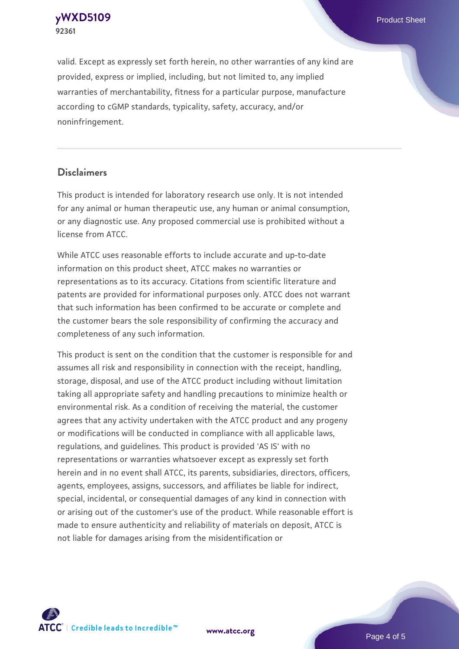**[yWXD5109](https://www.atcc.org/products/92361)** Product Sheet **92361**

valid. Except as expressly set forth herein, no other warranties of any kind are provided, express or implied, including, but not limited to, any implied warranties of merchantability, fitness for a particular purpose, manufacture according to cGMP standards, typicality, safety, accuracy, and/or noninfringement.

#### **Disclaimers**

This product is intended for laboratory research use only. It is not intended for any animal or human therapeutic use, any human or animal consumption, or any diagnostic use. Any proposed commercial use is prohibited without a license from ATCC.

While ATCC uses reasonable efforts to include accurate and up-to-date information on this product sheet, ATCC makes no warranties or representations as to its accuracy. Citations from scientific literature and patents are provided for informational purposes only. ATCC does not warrant that such information has been confirmed to be accurate or complete and the customer bears the sole responsibility of confirming the accuracy and completeness of any such information.

This product is sent on the condition that the customer is responsible for and assumes all risk and responsibility in connection with the receipt, handling, storage, disposal, and use of the ATCC product including without limitation taking all appropriate safety and handling precautions to minimize health or environmental risk. As a condition of receiving the material, the customer agrees that any activity undertaken with the ATCC product and any progeny or modifications will be conducted in compliance with all applicable laws, regulations, and guidelines. This product is provided 'AS IS' with no representations or warranties whatsoever except as expressly set forth herein and in no event shall ATCC, its parents, subsidiaries, directors, officers, agents, employees, assigns, successors, and affiliates be liable for indirect, special, incidental, or consequential damages of any kind in connection with or arising out of the customer's use of the product. While reasonable effort is made to ensure authenticity and reliability of materials on deposit, ATCC is not liable for damages arising from the misidentification or



**[www.atcc.org](http://www.atcc.org)**

Page 4 of 5